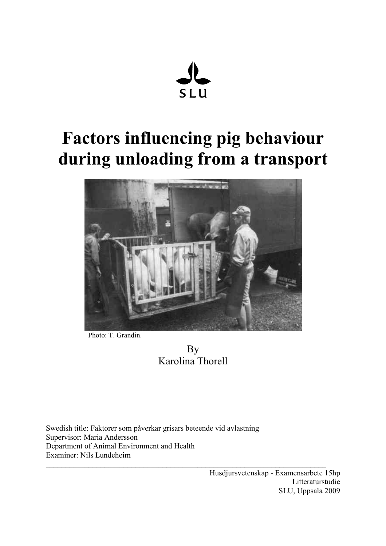

# Factors influencing pig behaviour during unloading from a transport



Photo: T. Grandin.

By Karolina Thorell

 $\_$  , and the set of the set of the set of the set of the set of the set of the set of the set of the set of the set of the set of the set of the set of the set of the set of the set of the set of the set of the set of th

Swedish title: Faktorer som påverkar grisars beteende vid avlastning Supervisor: Maria Andersson Department of Animal Environment and Health Examiner: Nils Lundeheim

> Husdjursvetenskap - Examensarbete 15hp Litteraturstudie SLU, Uppsala 2009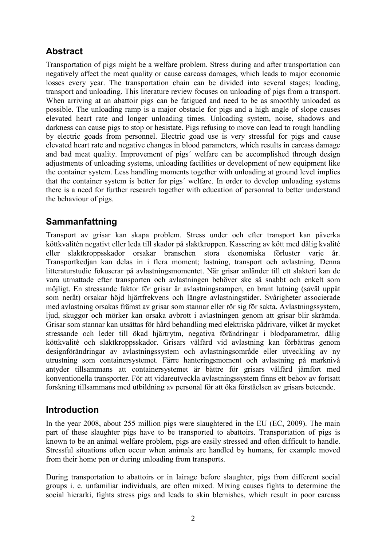# Abstract

Transportation of pigs might be a welfare problem. Stress during and after transportation can negatively affect the meat quality or cause carcass damages, which leads to major economic losses every year. The transportation chain can be divided into several stages; loading, transport and unloading. This literature review focuses on unloading of pigs from a transport. When arriving at an abattoir pigs can be fatigued and need to be as smoothly unloaded as possible. The unloading ramp is a major obstacle for pigs and a high angle of slope causes elevated heart rate and longer unloading times. Unloading system, noise, shadows and darkness can cause pigs to stop or hesistate. Pigs refusing to move can lead to rough handling by electric goads from personnel. Electric goad use is very stressful for pigs and cause elevated heart rate and negative changes in blood parameters, which results in carcass damage and bad meat quality. Improvement of pigs´ welfare can be accomplished through design adjustments of unloading systems, unloading facilities or development of new equipment like the container system. Less handling moments together with unloading at ground level implies that the container system is better for pigs´ welfare. In order to develop unloading systems there is a need for further research together with education of personnal to better understand the behaviour of pigs.

# Sammanfattning

Transport av grisar kan skapa problem. Stress under och efter transport kan påverka köttkvalitén negativt eller leda till skador på slaktkroppen. Kassering av kött med dålig kvalité eller slaktkroppsskador orsakar branschen stora ekonomiska förluster varje år. Transportkedjan kan delas in i flera moment; lastning, transport och avlastning. Denna litteraturstudie fokuserar på avlastningsmomentet. När grisar anländer till ett slakteri kan de vara utmattade efter transporten och avlastningen behöver ske så snabbt och enkelt som möjligt. En stressande faktor för grisar är avlastningsrampen, en brant lutning (såväl uppåt som neråt) orsakar höjd hjärtfrekvens och längre avlastningstider. Svårigheter associerade med avlastning orsakas främst av grisar som stannar eller rör sig för sakta. Avlastningssystem, ljud, skuggor och mörker kan orsaka avbrott i avlastningen genom att grisar blir skrämda. Grisar som stannar kan utsättas för hård behandling med elektriska pådrivare, vilket är mycket stressande och leder till ökad hjärtrytm, negativa förändringar i blodparametrar, dålig köttkvalité och slaktkroppsskador. Grisars välfärd vid avlastning kan förbättras genom designförändringar av avlastningssystem och avlastningsområde eller utveckling av ny utrustning som containersystemet. Färre hanteringsmoment och avlastning på marknivå antyder tillsammans att containersystemet är bättre för grisars välfärd jämfört med konventionella transporter. För att vidareutveckla avlastningssystem finns ett behov av fortsatt forskning tillsammans med utbildning av personal för att öka förståelsen av grisars beteende.

## Introduction

In the year 2008, about 255 million pigs were slaughtered in the EU (EC, 2009). The main part of these slaughter pigs have to be transported to abattoirs. Transportation of pigs is known to be an animal welfare problem, pigs are easily stressed and often difficult to handle. Stressful situations often occur when animals are handled by humans, for example moved from their home pen or during unloading from transports.

During transportation to abattoirs or in lairage before slaughter, pigs from different social groups i. e. unfamiliar individuals, are often mixed. Mixing causes fights to determine the social hierarki, fights stress pigs and leads to skin blemishes, which result in poor carcass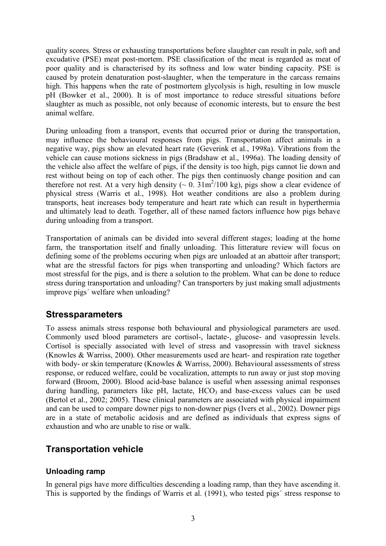quality scores. Stress or exhausting transportations before slaughter can result in pale, soft and excudative (PSE) meat post-mortem. PSE classification of the meat is regarded as meat of poor quality and is characterised by its softness and low water binding capacity. PSE is caused by protein denaturation post-slaughter, when the temperature in the carcass remains high. This happens when the rate of postmortem glycolysis is high, resulting in low muscle pH (Bowker et al., 2000). It is of most importance to reduce stressful situations before slaughter as much as possible, not only because of economic interests, but to ensure the best animal welfare.

During unloading from a transport, events that occurred prior or during the transportation, may influence the behavioural responses from pigs. Transportation affect animals in a negative way, pigs show an elevated heart rate (Geverink et al., 1998a). Vibrations from the vehicle can cause motions sickness in pigs (Bradshaw et al., 1996a). The loading density of the vehicle also affect the welfare of pigs, if the density is too high, pigs cannot lie down and rest without being on top of each other. The pigs then continuosly change position and can therefore not rest. At a very high density ( $\sim 0$ .  $31 \text{m}^2/100$  kg), pigs show a clear evidence of physical stress (Warris et al., 1998). Hot weather conditions are also a problem during transports, heat increases body temperature and heart rate which can result in hyperthermia and ultimately lead to death. Together, all of these named factors influence how pigs behave during unloading from a transport.

Transportation of animals can be divided into several different stages; loading at the home farm, the transportation itself and finally unloading. This litterature review will focus on defining some of the problems occuring when pigs are unloaded at an abattoir after transport; what are the stressful factors for pigs when transporting and unloading? Which factors are most stressful for the pigs, and is there a solution to the problem. What can be done to reduce stress during transportation and unloading? Can transporters by just making small adjustments improve pigs´ welfare when unloading?

## **Stressparameters**

To assess animals stress response both behavioural and physiological parameters are used. Commonly used blood parameters are cortisol-, lactate-, glucose- and vasopressin levels. Cortisol is specially associated with level of stress and vasopressin with travel sickness (Knowles & Warriss, 2000). Other measurements used are heart- and respiration rate together with body- or skin temperature (Knowles & Warriss, 2000). Behavioural assessments of stress response, or reduced welfare, could be vocalization, attempts to run away or just stop moving forward (Broom, 2000). Blood acid-base balance is useful when assessing animal responses during handling, parameters like  $pH$ , lactate,  $HCO<sub>3</sub>$  and base-excess values can be used (Bertol et al., 2002; 2005). These clinical parameters are associated with physical impairment and can be used to compare downer pigs to non-downer pigs (Ivers et al., 2002). Downer pigs are in a state of metabolic acidosis and are defined as individuals that express signs of exhaustion and who are unable to rise or walk.

## Transportation vehicle

## Unloading ramp

In general pigs have more difficulties descending a loading ramp, than they have ascending it. This is supported by the findings of Warris et al. (1991), who tested pigs´ stress response to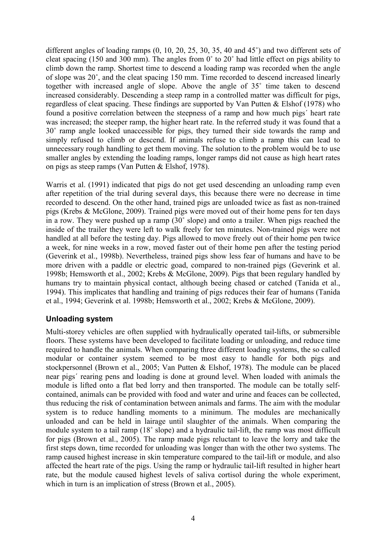different angles of loading ramps (0, 10, 20, 25, 30, 35, 40 and 45˚) and two different sets of cleat spacing (150 and 300 mm). The angles from 0˚ to 20˚ had little effect on pigs ability to climb down the ramp. Shortest time to descend a loading ramp was recorded when the angle of slope was 20˚, and the cleat spacing 150 mm. Time recorded to descend increased linearly together with increased angle of slope. Above the angle of 35˚ time taken to descend increased considerably. Descending a steep ramp in a controlled matter was difficult for pigs, regardless of cleat spacing. These findings are supported by Van Putten & Elshof (1978) who found a positive correlation between the steepness of a ramp and how much pigs´ heart rate was increased; the steeper ramp, the higher heart rate. In the referred study it was found that a 30˚ ramp angle looked unaccessible for pigs, they turned their side towards the ramp and simply refused to climb or descend. If animals refuse to climb a ramp this can lead to unnecessary rough handling to get them moving. The solution to the problem would be to use smaller angles by extending the loading ramps, longer ramps did not cause as high heart rates on pigs as steep ramps (Van Putten & Elshof, 1978).

Warris et al. (1991) indicated that pigs do not get used descending an unloading ramp even after repetition of the trial during several days, this because there were no decrease in time recorded to descend. On the other hand, trained pigs are unloaded twice as fast as non-trained pigs (Krebs & McGlone, 2009). Trained pigs were moved out of their home pens for ten days in a row. They were pushed up a ramp (30˚ slope) and onto a trailer. When pigs reached the inside of the trailer they were left to walk freely for ten minutes. Non-trained pigs were not handled at all before the testing day. Pigs allowed to move freely out of their home pen twice a week, for nine weeks in a row, moved faster out of their home pen after the testing period (Geverink et al., 1998b). Nevertheless, trained pigs show less fear of humans and have to be more driven with a paddle or electric goad, compared to non-trained pigs (Geverink et al. 1998b; Hemsworth et al., 2002; Krebs & McGlone, 2009). Pigs that been regulary handled by humans try to maintain physical contact, although beeing chased or catched (Tanida et al., 1994). This implicates that handling and training of pigs reduces their fear of humans (Tanida et al., 1994; Geverink et al. 1998b; Hemsworth et al., 2002; Krebs & McGlone, 2009).

#### Unloading system

Multi-storey vehicles are often supplied with hydraulically operated tail-lifts, or submersible floors. These systems have been developed to facilitate loading or unloading, and reduce time required to handle the animals. When comparing three different loading systems, the so called modular or container system seemed to be most easy to handle for both pigs and stockpersonnel (Brown et al., 2005; Van Putten & Elshof, 1978). The module can be placed near pigs´ rearing pens and loading is done at ground level. When loaded with animals the module is lifted onto a flat bed lorry and then transported. The module can be totally selfcontained, animals can be provided with food and water and urine and feaces can be collected, thus reducing the risk of contamination between animals and farms. The aim with the modular system is to reduce handling moments to a minimum. The modules are mechanically unloaded and can be held in lairage until slaughter of the animals. When comparing the module system to a tail ramp (18˚ slope) and a hydraulic tail-lift, the ramp was most difficult for pigs (Brown et al., 2005). The ramp made pigs reluctant to leave the lorry and take the first steps down, time recorded for unloading was longer than with the other two systems. The ramp caused highest increase in skin temperature compared to the tail-lift or module, and also affected the heart rate of the pigs. Using the ramp or hydraulic tail-lift resulted in higher heart rate, but the module caused highest levels of saliva cortisol during the whole experiment, which in turn is an implication of stress (Brown et al., 2005).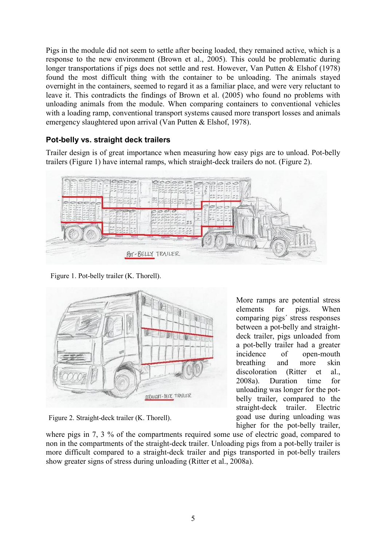Pigs in the module did not seem to settle after beeing loaded, they remained active, which is a response to the new environment (Brown et al., 2005). This could be problematic during longer transportations if pigs does not settle and rest. However, Van Putten & Elshof (1978) found the most difficult thing with the container to be unloading. The animals stayed overnight in the containers, seemed to regard it as a familiar place, and were very reluctant to leave it. This contradicts the findings of Brown et al. (2005) who found no problems with unloading animals from the module. When comparing containers to conventional vehicles with a loading ramp, conventional transport systems caused more transport losses and animals emergency slaughtered upon arrival (Van Putten & Elshof, 1978).

#### Pot-belly vs. straight deck trailers

Trailer design is of great importance when measuring how easy pigs are to unload. Pot-belly trailers (Figure 1) have internal ramps, which straight-deck trailers do not. (Figure 2).



Figure 1. Pot-belly trailer (K. Thorell).



Figure 2. Straight-deck trailer (K. Thorell).

where pigs in 7, 3 % of the compartments required some use of electric goad, compared to non in the compartments of the straight-deck trailer. Unloading pigs from a pot-belly trailer is more difficult compared to a straight-deck trailer and pigs transported in pot-belly trailers show greater signs of stress during unloading (Ritter et al., 2008a).

More ramps are potential stress elements for pigs. When comparing pigs´ stress responses between a pot-belly and straightdeck trailer, pigs unloaded from a pot-belly trailer had a greater incidence of open-mouth breathing and more skin discoloration (Ritter et al., 2008a). Duration time for unloading was longer for the potbelly trailer, compared to the straight-deck trailer. Electric goad use during unloading was higher for the pot-belly trailer,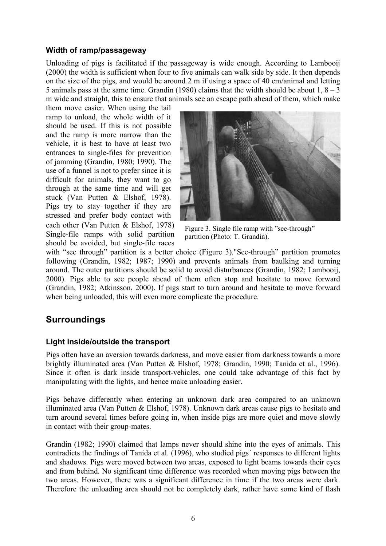#### Width of ramp/passageway

Unloading of pigs is facilitated if the passageway is wide enough. According to Lambooij (2000) the width is sufficient when four to five animals can walk side by side. It then depends on the size of the pigs, and would be around 2 m if using a space of 40 cm/animal and letting 5 animals pass at the same time. Grandin (1980) claims that the width should be about  $1, 8 - 3$ m wide and straight, this to ensure that animals see an escape path ahead of them, which make

them move easier. When using the tail ramp to unload, the whole width of it should be used. If this is not possible and the ramp is more narrow than the vehicle, it is best to have at least two entrances to single-files for prevention of jamming (Grandin, 1980; 1990). The use of a funnel is not to prefer since it is difficult for animals, they want to go through at the same time and will get stuck (Van Putten & Elshof, 1978). Pigs try to stay together if they are stressed and prefer body contact with each other (Van Putten & Elshof, 1978) Single-file ramps with solid partition should be avoided, but single-file races



Figure 3. Single file ramp with "see-through" partition (Photo: T. Grandin).

with "see through" partition is a better choice (Figure 3). "See-through" partition promotes following (Grandin, 1982; 1987; 1990) and prevents animals from baulking and turning around. The outer partitions should be solid to avoid disturbances (Grandin, 1982; Lambooij, 2000). Pigs able to see people ahead of them often stop and hesitate to move forward (Grandin, 1982; Atkinsson, 2000). If pigs start to turn around and hesitate to move forward when being unloaded, this will even more complicate the procedure.

## **Surroundings**

#### Light inside/outside the transport

Pigs often have an aversion towards darkness, and move easier from darkness towards a more brightly illuminated area (Van Putten & Elshof, 1978; Grandin, 1990; Tanida et al., 1996). Since it often is dark inside transport-vehicles, one could take advantage of this fact by manipulating with the lights, and hence make unloading easier.

Pigs behave differently when entering an unknown dark area compared to an unknown illuminated area (Van Putten & Elshof, 1978). Unknown dark areas cause pigs to hesitate and turn around several times before going in, when inside pigs are more quiet and move slowly in contact with their group-mates.

Grandin (1982; 1990) claimed that lamps never should shine into the eyes of animals. This contradicts the findings of Tanida et al. (1996), who studied pigs´ responses to different lights and shadows. Pigs were moved between two areas, exposed to light beams towards their eyes and from behind. No significant time difference was recorded when moving pigs between the two areas. However, there was a significant difference in time if the two areas were dark. Therefore the unloading area should not be completely dark, rather have some kind of flash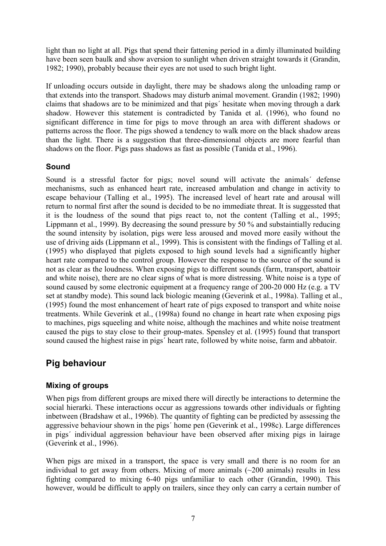light than no light at all. Pigs that spend their fattening period in a dimly illuminated building have been seen baulk and show aversion to sunlight when driven straight towards it (Grandin, 1982; 1990), probably because their eyes are not used to such bright light.

If unloading occurs outside in daylight, there may be shadows along the unloading ramp or that extends into the transport. Shadows may disturb animal movement. Grandin (1982; 1990) claims that shadows are to be minimized and that pigs´ hesitate when moving through a dark shadow. However this statement is contradicted by Tanida et al. (1996), who found no significant difference in time for pigs to move through an area with different shadows or patterns across the floor. The pigs showed a tendency to walk more on the black shadow areas than the light. There is a suggestion that three-dimensional objects are more fearful than shadows on the floor. Pigs pass shadows as fast as possible (Tanida et al., 1996).

#### Sound

Sound is a stressful factor for pigs; novel sound will activate the animals´ defense mechanisms, such as enhanced heart rate, increased ambulation and change in activity to escape behaviour (Talling et al., 1995). The increased level of heart rate and arousal will return to normal first after the sound is decided to be no immediate threat. It is suggessted that it is the loudness of the sound that pigs react to, not the content (Talling et al., 1995; Lippmann et al., 1999). By decreasing the sound pressure by 50 % and substaintially reducing the sound intensity by isolation, pigs were less aroused and moved more easily without the use of driving aids (Lippmann et al., 1999). This is consistent with the findings of Talling et al. (1995) who displayed that piglets exposed to high sound levels had a significantly higher heart rate compared to the control group. However the response to the source of the sound is not as clear as the loudness. When exposing pigs to different sounds (farm, transport, abattoir and white noise), there are no clear signs of what is more distressing. White noise is a type of sound caused by some electronic equipment at a frequency range of 200-20 000 Hz (e.g. a TV set at standby mode). This sound lack biologic meaning (Geverink et al., 1998a). Talling et al., (1995) found the most enhancement of heart rate of pigs exposed to transport and white noise treatments. While Geverink et al., (1998a) found no change in heart rate when exposing pigs to machines, pigs squeeling and white noise, although the machines and white noise treatment caused the pigs to stay close to their group-mates. Spensley et al. (1995) found that transport sound caused the highest raise in pigs´ heart rate, followed by white noise, farm and abbatoir.

# Pig behaviour

## Mixing of groups

When pigs from different groups are mixed there will directly be interactions to determine the social hierarki. These interactions occur as aggressions towards other individuals or fighting inbetween (Bradshaw et al., 1996b). The quantity of fighting can be predicted by assessing the aggressive behaviour shown in the pigs´ home pen (Geverink et al., 1998c). Large differences in pigs´ individual aggression behaviour have been observed after mixing pigs in lairage (Geverink et al., 1996).

When pigs are mixed in a transport, the space is very small and there is no room for an individual to get away from others. Mixing of more animals  $(\sim 200 \text{ animals})$  results in less fighting compared to mixing 6-40 pigs unfamiliar to each other (Grandin, 1990). This however, would be difficult to apply on trailers, since they only can carry a certain number of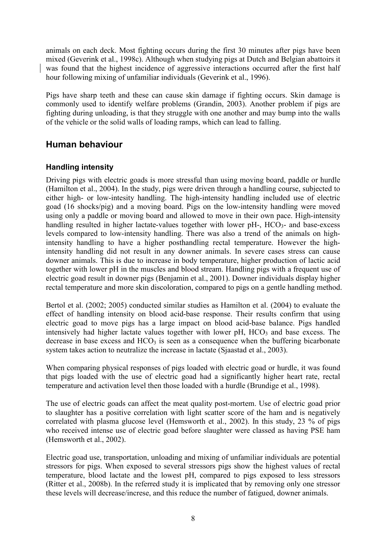animals on each deck. Most fighting occurs during the first 30 minutes after pigs have been mixed (Geverink et al., 1998c). Although when studying pigs at Dutch and Belgian abattoirs it was found that the highest incidence of aggressive interactions occurred after the first half hour following mixing of unfamiliar individuals (Geverink et al., 1996).

Pigs have sharp teeth and these can cause skin damage if fighting occurs. Skin damage is commonly used to identify welfare problems (Grandin, 2003). Another problem if pigs are fighting during unloading, is that they struggle with one another and may bump into the walls of the vehicle or the solid walls of loading ramps, which can lead to falling.

## Human behaviour

## Handling intensity

Driving pigs with electric goads is more stressful than using moving board, paddle or hurdle (Hamilton et al., 2004). In the study, pigs were driven through a handling course, subjected to either high- or low-intesity handling. The high-intensity handling included use of electric goad (16 shocks/pig) and a moving board. Pigs on the low-intensity handling were moved using only a paddle or moving board and allowed to move in their own pace. High-intensity handling resulted in higher lactate-values together with lower  $pH$ -,  $HCO<sub>3</sub>$ - and base-excess levels compared to low-intensity handling. There was also a trend of the animals on highintensity handling to have a higher posthandling rectal temperature. However the highintensity handling did not result in any downer animals. In severe cases stress can cause downer animals. This is due to increase in body temperature, higher production of lactic acid together with lower pH in the muscles and blood stream. Handling pigs with a frequent use of electric goad result in downer pigs (Benjamin et al., 2001). Downer individuals display higher rectal temperature and more skin discoloration, compared to pigs on a gentle handling method.

Bertol et al. (2002; 2005) conducted similar studies as Hamilton et al. (2004) to evaluate the effect of handling intensity on blood acid-base response. Their results confirm that using electric goad to move pigs has a large impact on blood acid-base balance. Pigs handled intensively had higher lactate values together with lower  $pH$ ,  $HCO<sub>3</sub>$  and base excess. The decrease in base excess and  $HCO<sub>3</sub>$  is seen as a consequence when the buffering bicarbonate system takes action to neutralize the increase in lactate (Sjaastad et al., 2003).

When comparing physical responses of pigs loaded with electric goad or hurdle, it was found that pigs loaded with the use of electric goad had a significantly higher heart rate, rectal temperature and activation level then those loaded with a hurdle (Brundige et al., 1998).

The use of electric goads can affect the meat quality post-mortem. Use of electric goad prior to slaughter has a positive correlation with light scatter score of the ham and is negatively correlated with plasma glucose level (Hemsworth et al., 2002). In this study, 23 % of pigs who received intense use of electric goad before slaughter were classed as having PSE ham (Hemsworth et al., 2002).

Electric goad use, transportation, unloading and mixing of unfamiliar individuals are potential stressors for pigs. When exposed to several stressors pigs show the highest values of rectal temperature, blood lactate and the lowest pH, compared to pigs exposed to less stressors (Ritter et al., 2008b). In the referred study it is implicated that by removing only one stressor these levels will decrease/increse, and this reduce the number of fatigued, downer animals.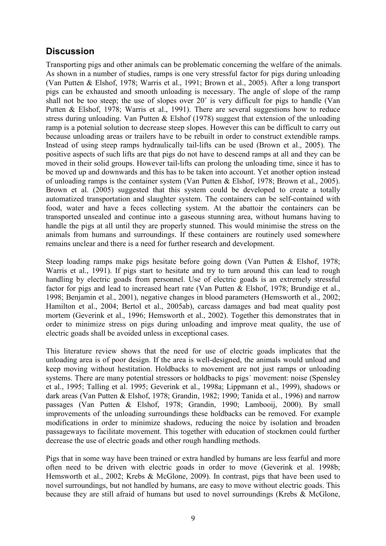# **Discussion**

Transporting pigs and other animals can be problematic concerning the welfare of the animals. As shown in a number of studies, ramps is one very stressful factor for pigs during unloading (Van Putten & Elshof, 1978; Warris et al., 1991; Brown et al., 2005). After a long transport pigs can be exhausted and smooth unloading is necessary. The angle of slope of the ramp shall not be too steep; the use of slopes over 20˚ is very difficult for pigs to handle (Van Putten & Elshof, 1978; Warris et al., 1991). There are several suggestions how to reduce stress during unloading. Van Putten & Elshof (1978) suggest that extension of the unloading ramp is a potenial solution to decrease steep slopes. However this can be difficult to carry out because unloading areas or trailers have to be rebuilt in order to construct extendible ramps. Instead of using steep ramps hydraulically tail-lifts can be used (Brown et al., 2005). The positive aspects of such lifts are that pigs do not have to descend ramps at all and they can be moved in their solid groups. However tail-lifts can prolong the unloading time, since it has to be moved up and downwards and this has to be taken into account. Yet another option instead of unloading ramps is the container system (Van Putten & Elshof, 1978; Brown et al., 2005). Brown et al. (2005) suggested that this system could be developed to create a totally automatized transportation and slaughter system. The containers can be self-contained with food, water and have a feces collecting system. At the abattoir the containers can be transported unsealed and continue into a gaseous stunning area, without humans having to handle the pigs at all until they are properly stunned. This would minimise the stress on the animals from humans and surroundings. If these containers are routinely used somewhere remains unclear and there is a need for further research and development.

Steep loading ramps make pigs hesitate before going down (Van Putten & Elshof, 1978; Warris et al., 1991). If pigs start to hesitate and try to turn around this can lead to rough handling by electric goads from personnel. Use of electric goads is an extremely stressful factor for pigs and lead to increased heart rate (Van Putten & Elshof, 1978; Brundige et al., 1998; Benjamin et al., 2001), negative changes in blood parameters (Hemsworth et al., 2002; Hamilton et al., 2004; Bertol et al., 2005ab), carcass damages and bad meat quality post mortem (Geverink et al., 1996; Hemsworth et al., 2002). Together this demonstrates that in order to minimize stress on pigs during unloading and improve meat quality, the use of electric goads shall be avoided unless in exceptional cases.

This literature review shows that the need for use of electric goads implicates that the unloading area is of poor design. If the area is well-designed, the animals would unload and keep moving without hestitation. Holdbacks to movement are not just ramps or unloading systems. There are many potential stressors or holdbacks to pigs´ movement: noise (Spensley et al., 1995; Talling et al. 1995; Geverink et al., 1998a; Lippmann et al., 1999), shadows or dark areas (Van Putten & Elshof, 1978; Grandin, 1982; 1990; Tanida et al., 1996) and narrow passages (Van Putten & Elshof, 1978; Grandin, 1990; Lambooij, 2000). By small improvements of the unloading surroundings these holdbacks can be removed. For example modifications in order to minimize shadows, reducing the noice by isolation and broaden passageways to facilitate movement. This together with education of stockmen could further decrease the use of electric goads and other rough handling methods.

Pigs that in some way have been trained or extra handled by humans are less fearful and more often need to be driven with electric goads in order to move (Geverink et al. 1998b; Hemsworth et al., 2002; Krebs & McGlone, 2009). In contrast, pigs that have been used to novel surroundings, but not handled by humans, are easy to move without electric goads. This because they are still afraid of humans but used to novel surroundings (Krebs & McGlone,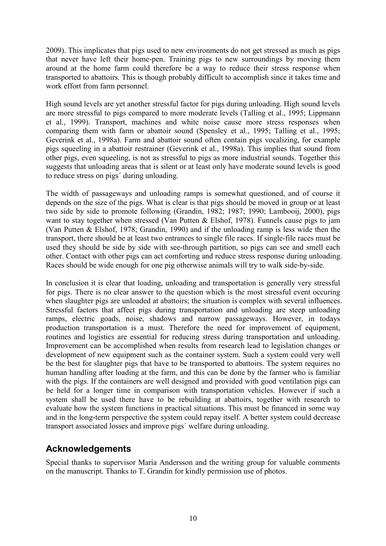2009). This implicates that pigs used to new environments do not get stressed as much as pigs that never have left their home-pen. Training pigs to new surroundings by moving them around at the home farm could therefore be a way to reduce their stress response when transported to abattoirs. This is though probably difficult to accomplish since it takes time and work effort from farm personnel.

High sound levels are yet another stressful factor for pigs during unloading. High sound levels are more stressful to pigs compared to more moderate levels (Talling et al., 1995; Lippmann et al., 1999). Transport, machines and white noise cause more stress responses when comparing them with farm or abattoir sound (Spensley et al., 1995; Talling et al., 1995; Geverink et al., 1998a). Farm and abattoir sound often contain pigs vocalizing, for example pigs squeeling in a abattoir restrainer (Geverink et al., 1998a). This implies that sound from other pigs, even squeeling, is not as stressful to pigs as more industrial sounds. Together this suggests that unloading areas that is silent or at least only have moderate sound levels is good to reduce stress on pigs´ during unloading.

The width of passageways and unloading ramps is somewhat questioned, and of course it depends on the size of the pigs. What is clear is that pigs should be moved in group or at least two side by side to promote following (Grandin, 1982; 1987; 1990; Lambooij, 2000), pigs want to stay together when stressed (Van Putten & Elshof, 1978). Funnels cause pigs to jam (Van Putten & Elshof, 1978; Grandin, 1990) and if the unloading ramp is less wide then the transport, there should be at least two entrances to single file races. If single-file races must be used they should be side by side with see-through partition, so pigs can see and smell each other. Contact with other pigs can act comforting and reduce stress response during unloading. Races should be wide enough for one pig otherwise animals will try to walk side-by-side.

In conclusion it is clear that loading, unloading and transportation is generally very stressful for pigs. There is no clear answer to the question which is the most stressful event occuring when slaughter pigs are unloaded at abattoirs; the situation is complex with several influences. Stressful factors that affect pigs during transportation and unloading are steep unloading ramps, electric goads, noise, shadows and narrow passageways. However, in todays production transportation is a must. Therefore the need for improvement of equipment, routines and logistics are essential for reducing stress during transportation and unloading. Improvement can be accomplished when results from research lead to legislation changes or development of new equipment such as the container system. Such a system could very well be the best for slaughter pigs that have to be transported to abattoirs. The system requires no human handling after loading at the farm, and this can be done by the farmer who is familiar with the pigs. If the containers are well designed and provided with good ventilation pigs can be held for a longer time in comparison with transportation vehicles. However if such a system shall be used there have to be rebuilding at abattoirs, together with research to evaluate how the system functions in practical situations. This must be financed in some way and in the long-term perspective the system could repay itself. A better system could decrease transport associated losses and improve pigs´ welfare during unloading.

## Acknowledgements

Special thanks to supervisor Maria Andersson and the writing group for valuable comments on the manuscript. Thanks to T. Grandin for kindly permission use of photos.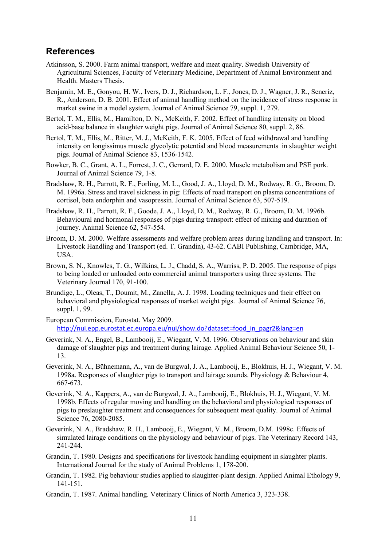## References

- Atkinsson, S. 2000. Farm animal transport, welfare and meat quality. Swedish University of Agricultural Sciences, Faculty of Veterinary Medicine, Department of Animal Environment and Health. Masters Thesis.
- Benjamin, M. E., Gonyou, H. W., Ivers, D. J., Richardson, L. F., Jones, D. J., Wagner, J. R., Seneriz, R., Anderson, D. B. 2001. Effect of animal handling method on the incidence of stress response in market swine in a model system. Journal of Animal Science 79, suppl. 1, 279.
- Bertol, T. M., Ellis, M., Hamilton, D. N., McKeith, F. 2002. Effect of handling intensity on blood acid-base balance in slaughter weight pigs. Journal of Animal Science 80, suppl. 2, 86.
- Bertol, T. M., Ellis, M., Ritter, M. J., McKeith, F. K. 2005. Effect of feed withdrawal and handling intensity on longissimus muscle glycolytic potential and blood measurements in slaughter weight pigs. Journal of Animal Science 83, 1536-1542.
- Bowker, B. C., Grant, A. L., Forrest, J. C., Gerrard, D. E. 2000. Muscle metabolism and PSE pork. Journal of Animal Science 79, 1-8.
- Bradshaw, R. H., Parrott, R. F., Forling, M. L., Good, J. A., Lloyd, D. M., Rodway, R. G., Broom, D. M. 1996a. Stress and travel sickness in pig: Effects of road transport on plasma concentrations of cortisol, beta endorphin and vasopressin. Journal of Animal Science 63, 507-519.
- Bradshaw, R. H., Parrott, R. F., Goode, J. A., Lloyd, D. M., Rodway, R. G., Broom, D. M. 1996b. Behavioural and hormonal responses of pigs during transport: effect of mixing and duration of journey. Animal Science 62, 547-554.
- Broom, D. M. 2000. Welfare assessments and welfare problem areas during handling and transport. In: Livestock Handling and Transport (ed. T. Grandin), 43-62. CABI Publishing, Cambridge, MA, USA.
- Brown, S. N., Knowles, T. G., Wilkins, L. J., Chadd, S. A., Warriss, P. D. 2005. The response of pigs to being loaded or unloaded onto commercial animal transporters using three systems. The Veterinary Journal 170, 91-100.
- Brundige, L., Oleas, T., Doumit, M., Zanella, A. J. 1998. Loading techniques and their effect on behavioral and physiological responses of market weight pigs. Journal of Animal Science 76, suppl. 1, 99.
- European Commission, Eurostat. May 2009. http://nui.epp.eurostat.ec.europa.eu/nui/show.do?dataset=food\_in\_pagr2&lang=en
- Geverink, N. A., Engel, B., Lambooij, E., Wiegant, V. M. 1996. Observations on behaviour and skin damage of slaughter pigs and treatment during lairage. Applied Animal Behaviour Science 50, 1- 13.
- Geverink, N. A., Bühnemann, A., van de Burgwal, J. A., Lambooij, E., Blokhuis, H. J., Wiegant, V. M. 1998a. Responses of slaughter pigs to transport and lairage sounds. Physiology & Behaviour 4, 667-673.
- Geverink, N. A., Kappers, A., van de Burgwal, J. A., Lambooij, E., Blokhuis, H. J., Wiegant, V. M. 1998b. Effects of regular moving and handling on the behavioral and physiological responses of pigs to preslaughter treatment and consequences for subsequent meat quality. Journal of Animal Science 76, 2080-2085.
- Geverink, N. A., Bradshaw, R. H., Lambooij, E., Wiegant, V. M., Broom, D.M. 1998c. Effects of simulated lairage conditions on the physiology and behaviour of pigs. The Veterinary Record 143, 241-244.
- Grandin, T. 1980. Designs and specifications for livestock handling equipment in slaughter plants. International Journal for the study of Animal Problems 1, 178-200.
- Grandin, T. 1982. Pig behaviour studies applied to slaughter-plant design. Applied Animal Ethology 9, 141-151.
- Grandin, T. 1987. Animal handling. Veterinary Clinics of North America 3, 323-338.